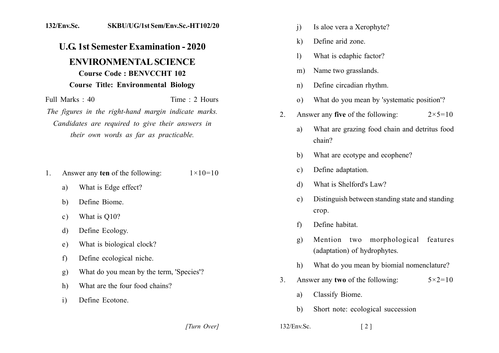## 132/Env.Sc. SKBU/UG/1st Sem/Env.Sc.-HT102/20

## **U.G. 1st Semester Examination - 2020 ENVIRONMENTAL SCIENCE Course Code: BENVCCHT 102 Course Title: Environmental Biology**

Time  $\cdot$  2 Hours Full Marks  $\cdot$  40 The figures in the right-hand margin indicate marks. Candidates are required to give their answers in their own words as far as practicable.

- Answer any ten of the following:  $1 \times 10 = 10$ 1.
	- What is Edge effect? a)
	- Define Biome  $h$
	- What is O10?  $\mathbf{c}$ )
	- Define Ecology. d)
	- What is biological clock? e)
	- Define ecological niche.  $f$
	- What do you mean by the term, 'Species'?  $g)$
	- What are the four food chains? h)
	- $\mathbf{i}$ Define Ecotone.
- $\overline{1}$ Is aloe vera a Xerophyte?
- Define arid zone.  $\bf k$
- What is edaphic factor?  $\left| \right|$
- Name two grasslands.  $m)$
- Define circadian rhythm.  $n)$
- What do you mean by 'systematic position'?  $\Omega$
- Answer any **five** of the following:  $2 \times 5 = 10$  $\overline{2}$ .
	- What are grazing food chain and detritus food a)  $chain?$
	- What are ecotype and ecophene?  $\mathbf{b}$
	- Define adaptation.  $\mathbf{c}$ )
	- What is Shelford's Law? d)
	- Distinguish between standing state and standing  $e)$ crop.
	- Define habitat.  $f$
	- Mention two morphological features  $g)$ (adaptation) of hydrophytes.
	- What do you mean by biomial nomenclature?  $h)$
- Answer any two of the following:  $5 \times 2 = 10$  $3<sub>1</sub>$ 
	- Classify Biome. a)
	- $b)$ Short note: ecological succession

[Turn Over]

 $132$ /Env.Sc.  $\lceil 2 \rceil$